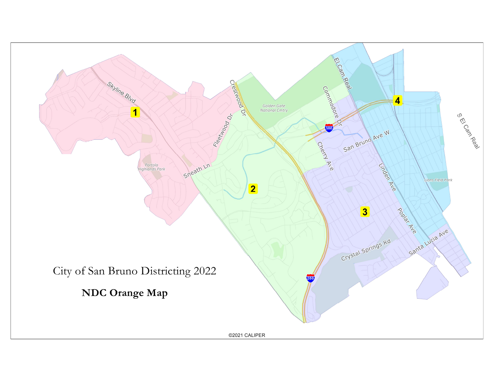